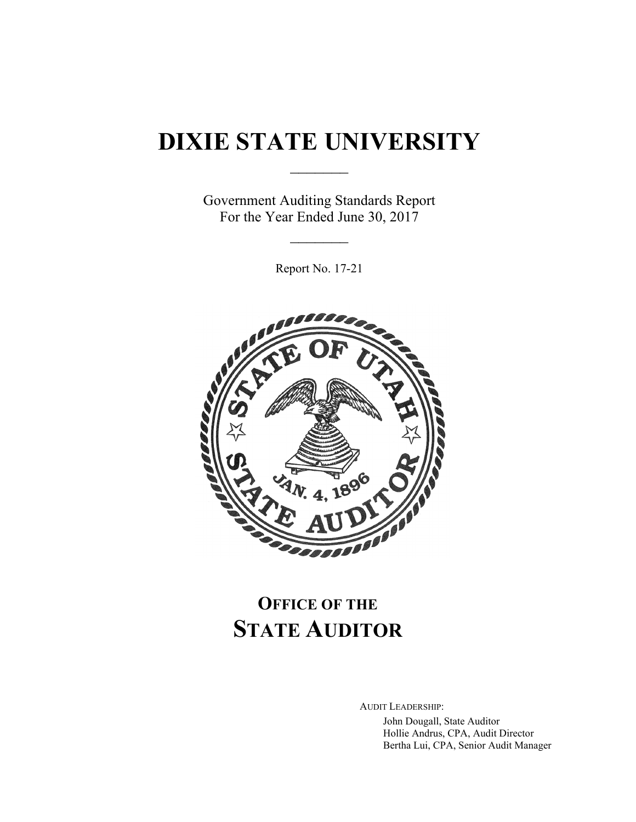# **DIXIE STATE UNIVERSITY**

 $\frac{1}{2}$ 

Government Auditing Standards Report For the Year Ended June 30, 2017

 $\frac{1}{2}$ 

Report No. 17-21



## **OFFICE OF THE STATE AUDITOR**

AUDIT LEADERSHIP:

John Dougall, State Auditor Hollie Andrus, CPA, Audit Director Bertha Lui, CPA, Senior Audit Manager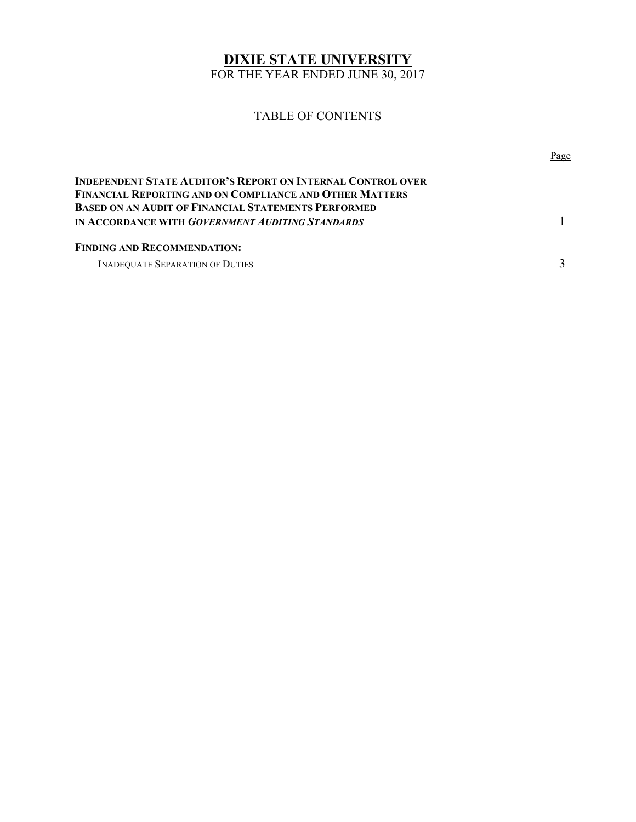## **DIXIE STATE UNIVERSITY**

FOR THE YEAR ENDED JUNE 30, 2017

#### TABLE OF CONTENTS

|                                                                                                                                      | Page |
|--------------------------------------------------------------------------------------------------------------------------------------|------|
| <b>INDEPENDENT STATE AUDITOR'S REPORT ON INTERNAL CONTROL OVER</b><br><b>FINANCIAL REPORTING AND ON COMPLIANCE AND OTHER MATTERS</b> |      |
| <b>BASED ON AN AUDIT OF FINANCIAL STATEMENTS PERFORMED</b><br><b>IN ACCORDANCE WITH GOVERNMENT AUDITING STANDARDS</b>                |      |
| <b>FINDING AND RECOMMENDATION:</b>                                                                                                   |      |
| <b>INADEQUATE SEPARATION OF DUTIES</b>                                                                                               |      |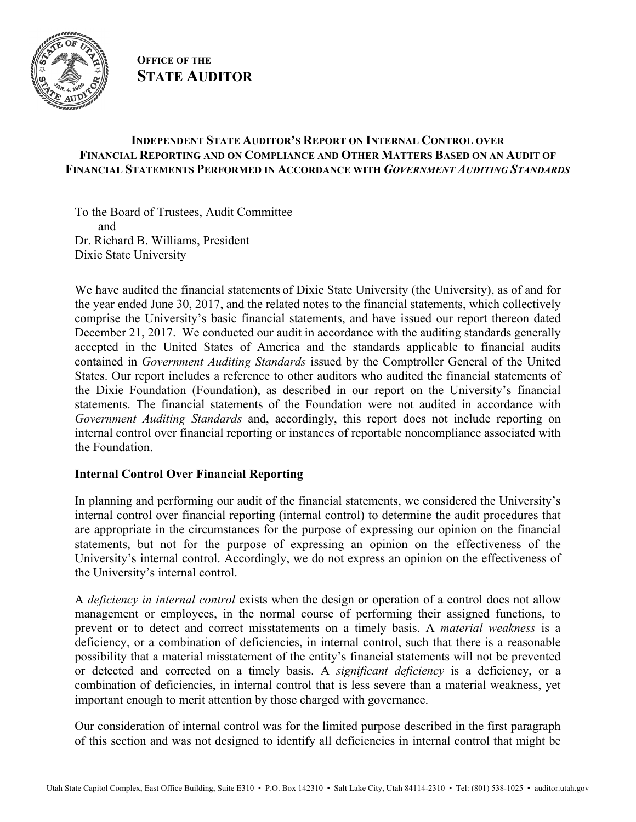

#### **OFFICE OF THE STATE AUDITOR**

#### **INDEPENDENT STATE AUDITOR'S REPORT ON INTERNAL CONTROL OVER FINANCIAL REPORTING AND ON COMPLIANCE AND OTHER MATTERS BASED ON AN AUDIT OF FINANCIAL STATEMENTS PERFORMED IN ACCORDANCE WITH** *GOVERNMENT AUDITING STANDARDS*

To the Board of Trustees, Audit Committee and Dr. Richard B. Williams, President Dixie State University

We have audited the financial statements of Dixie State University (the University), as of and for the year ended June 30, 2017, and the related notes to the financial statements, which collectively comprise the University's basic financial statements, and have issued our report thereon dated December 21, 2017. We conducted our audit in accordance with the auditing standards generally accepted in the United States of America and the standards applicable to financial audits contained in *Government Auditing Standards* issued by the Comptroller General of the United States. Our report includes a reference to other auditors who audited the financial statements of the Dixie Foundation (Foundation), as described in our report on the University's financial statements. The financial statements of the Foundation were not audited in accordance with *Government Auditing Standards* and, accordingly, this report does not include reporting on internal control over financial reporting or instances of reportable noncompliance associated with the Foundation.

#### **Internal Control Over Financial Reporting**

In planning and performing our audit of the financial statements, we considered the University's internal control over financial reporting (internal control) to determine the audit procedures that are appropriate in the circumstances for the purpose of expressing our opinion on the financial statements, but not for the purpose of expressing an opinion on the effectiveness of the University's internal control. Accordingly, we do not express an opinion on the effectiveness of the University's internal control.

A *deficiency in internal control* exists when the design or operation of a control does not allow management or employees, in the normal course of performing their assigned functions, to prevent or to detect and correct misstatements on a timely basis. A *material weakness* is a deficiency, or a combination of deficiencies, in internal control, such that there is a reasonable possibility that a material misstatement of the entity's financial statements will not be prevented or detected and corrected on a timely basis. A *significant deficiency* is a deficiency, or a combination of deficiencies, in internal control that is less severe than a material weakness, yet important enough to merit attention by those charged with governance.

Our consideration of internal control was for the limited purpose described in the first paragraph of this section and was not designed to identify all deficiencies in internal control that might be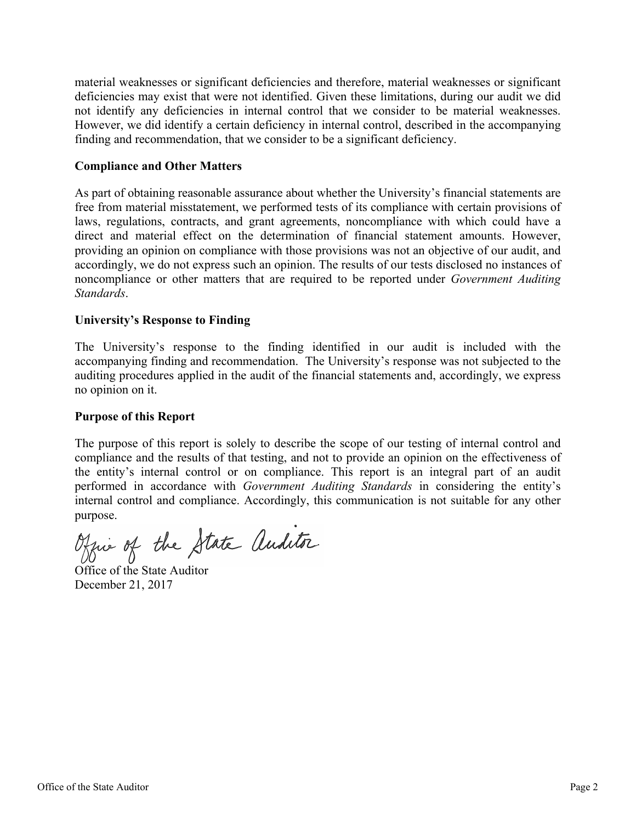material weaknesses or significant deficiencies and therefore, material weaknesses or significant deficiencies may exist that were not identified. Given these limitations, during our audit we did not identify any deficiencies in internal control that we consider to be material weaknesses. However, we did identify a certain deficiency in internal control, described in the accompanying finding and recommendation, that we consider to be a significant deficiency.

#### **Compliance and Other Matters**

As part of obtaining reasonable assurance about whether the University's financial statements are free from material misstatement, we performed tests of its compliance with certain provisions of laws, regulations, contracts, and grant agreements, noncompliance with which could have a direct and material effect on the determination of financial statement amounts. However, providing an opinion on compliance with those provisions was not an objective of our audit, and accordingly, we do not express such an opinion. The results of our tests disclosed no instances of noncompliance or other matters that are required to be reported under *Government Auditing Standards*.

#### **University's Response to Finding**

The University's response to the finding identified in our audit is included with the accompanying finding and recommendation. The University's response was not subjected to the auditing procedures applied in the audit of the financial statements and, accordingly, we express no opinion on it.

#### **Purpose of this Report**

The purpose of this report is solely to describe the scope of our testing of internal control and compliance and the results of that testing, and not to provide an opinion on the effectiveness of the entity's internal control or on compliance. This report is an integral part of an audit performed in accordance with *Government Auditing Standards* in considering the entity's internal control and compliance. Accordingly, this communication is not suitable for any other purpose.

Office of the State auditor

Office of the State Auditor December 21, 2017